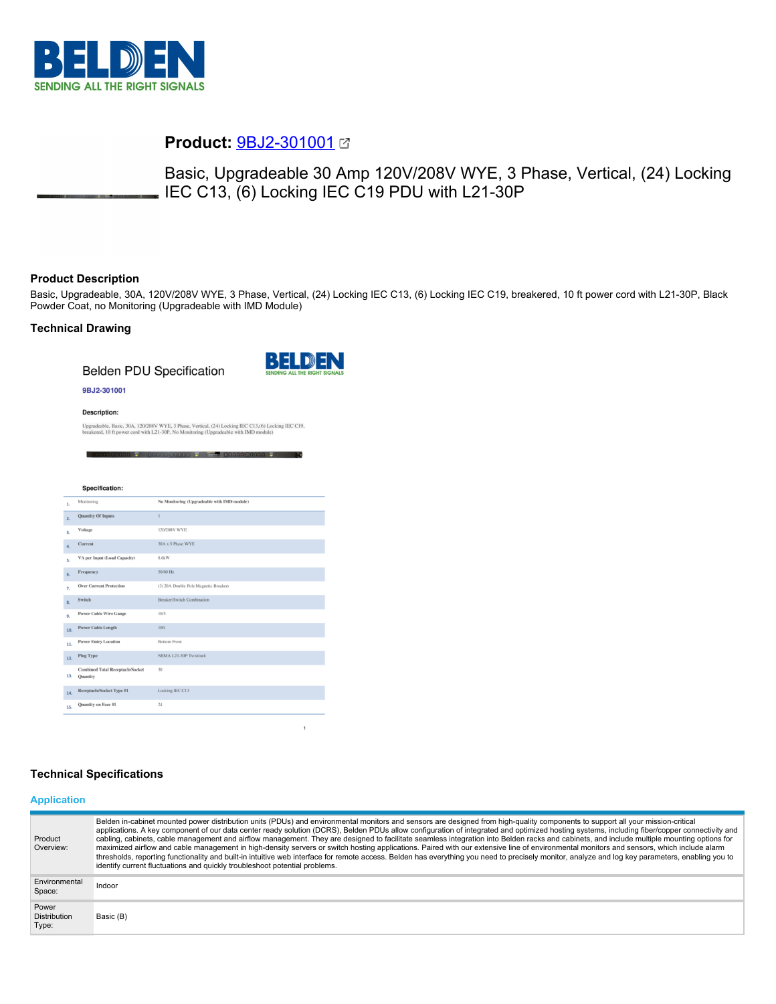

# **Product:** [9BJ2-301001](https://catalog.belden.com/index.cfm?event=pd&p=PF_9BJ2301001&tab=downloads)

Basic, Upgradeable 30 Amp 120V/208V WYE, 3 Phase, Vertical, (24) Locking IEC C13, (6) Locking IEC C19 PDU with L21-30P

## **Product Description**

Basic, Upgradeable, 30A, 120V/208V WYE, 3 Phase, Vertical, (24) Locking IEC C13, (6) Locking IEC C19, breakered, 10 ft power cord with L21-30P, Black Powder Coat, no Monitoring (Upgradeable with IMD Module)

## **Technical Drawing**

**Belden PDU Specification** 



#### 9BJ2-301001

**Description:** 

Upgradeable, Basic, 30A, 120/208V WYE, 3 Phase, Vertical, (24) Locking IEC C13,(6) Locking IEC C19,<br>breakered, 10 ft power cord with L21-30P, No Monitoring (Upgradeable with IMD module)

| 1.  | <b>Specification:</b><br>Monitoring<br><b>Quantity Of Inputs</b><br>Voltage<br>Current<br>VA per Input (Load Capacity) | No Monitoring (Upgradeable with IMD module)<br>I.<br>120/208V WYE<br>30A x 3 Phase WYE<br>8.6kW |
|-----|------------------------------------------------------------------------------------------------------------------------|-------------------------------------------------------------------------------------------------|
| 2.  |                                                                                                                        |                                                                                                 |
| 3.  |                                                                                                                        |                                                                                                 |
| 4.  |                                                                                                                        |                                                                                                 |
| 5.  |                                                                                                                        |                                                                                                 |
| 6.  |                                                                                                                        |                                                                                                 |
|     | Frequency                                                                                                              | 50/60 Hz                                                                                        |
| 7.  | <b>Over Current Protection</b>                                                                                         | (3) 20A Double Pole Magnetic Breakers                                                           |
| 8.  | Switch                                                                                                                 | <b>Breaker/Switch Combination</b>                                                               |
| 9.  | <b>Power Cable Wire Gauge</b>                                                                                          | 10/5                                                                                            |
| 10. | <b>Power Cable Length</b>                                                                                              | 10 <sub>ft</sub>                                                                                |
| 11. | <b>Power Entry Location</b>                                                                                            | <b>Bottom Front</b>                                                                             |
| 12. | <b>Plug Type</b>                                                                                                       | NEMA L21-30P Twistlock                                                                          |
| 13. | <b>Combined Total Receptacle/Socket</b><br>Ouantity                                                                    | $30 -$                                                                                          |
| 14. | Receptacle/Socket Type #1                                                                                              | Locking IEC C13                                                                                 |
| 15. | Quantity on Face #1                                                                                                    | 24                                                                                              |

## **Technical Specifications**

#### **Application**

| Product<br>Overview:                  | Belden in-cabinet mounted power distribution units (PDUs) and environmental monitors and sensors are designed from high-quality components to support all your mission-critical<br>applications. A key component of our data center ready solution (DCRS), Belden PDUs allow configuration of integrated and optimized hosting systems, including fiber/copper connectivity and<br>cabling, cabinets, cable management and airflow management. They are designed to facilitate seamless integration into Belden racks and cabinets, and include multiple mounting options for<br>maximized airflow and cable management in high-density servers or switch hosting applications. Paired with our extensive line of environmental monitors and sensors, which include alarm<br>thresholds, reporting functionality and built-in intuitive web interface for remote access. Belden has everything you need to precisely monitor, analyze and log key parameters, enabling you to<br>identify current fluctuations and quickly troubleshoot potential problems. |
|---------------------------------------|-------------------------------------------------------------------------------------------------------------------------------------------------------------------------------------------------------------------------------------------------------------------------------------------------------------------------------------------------------------------------------------------------------------------------------------------------------------------------------------------------------------------------------------------------------------------------------------------------------------------------------------------------------------------------------------------------------------------------------------------------------------------------------------------------------------------------------------------------------------------------------------------------------------------------------------------------------------------------------------------------------------------------------------------------------------|
| Environmental<br>Space:               | Indoor                                                                                                                                                                                                                                                                                                                                                                                                                                                                                                                                                                                                                                                                                                                                                                                                                                                                                                                                                                                                                                                      |
| Power<br><b>Distribution</b><br>Type: | Basic (B)                                                                                                                                                                                                                                                                                                                                                                                                                                                                                                                                                                                                                                                                                                                                                                                                                                                                                                                                                                                                                                                   |